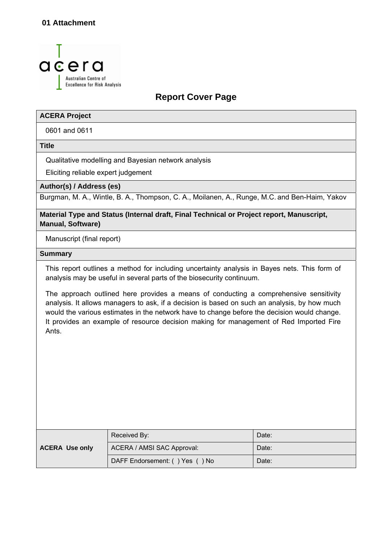

## **Report Cover Page**

#### **ACERA Project**

0601 and 0611

**Title** 

Qualitative modelling and Bayesian network analysis

Eliciting reliable expert judgement

**Author(s) / Address (es)** 

Burgman, M. A., Wintle, B. A., Thompson, C. A., Moilanen, A., Runge, M.C. and Ben-Haim, Yakov

**Material Type and Status (Internal draft, Final Technical or Project report, Manuscript, Manual, Software)** 

Manuscript (final report)

#### **Summary**

This report outlines a method for including uncertainty analysis in Bayes nets. This form of analysis may be useful in several parts of the biosecurity continuum.

The approach outlined here provides a means of conducting a comprehensive sensitivity analysis. It allows managers to ask, if a decision is based on such an analysis, by how much would the various estimates in the network have to change before the decision would change. It provides an example of resource decision making for management of Red Imported Fire Ants.

|                       | Received By:                   | Date: |
|-----------------------|--------------------------------|-------|
| <b>ACERA Use only</b> | ACERA / AMSI SAC Approval:     | Date: |
|                       | DAFF Endorsement: () Yes () No | Date: |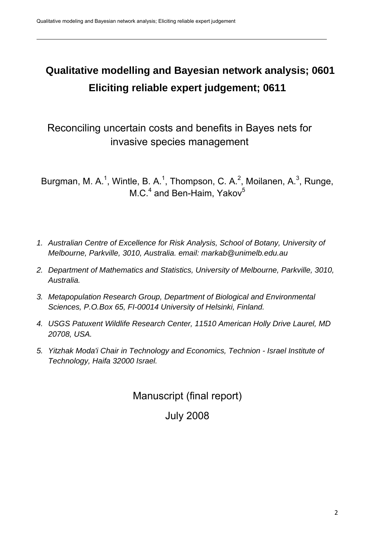# **Qualitative modelling and Bayesian network analysis; 0601 Eliciting reliable expert judgement; 0611**

Reconciling uncertain costs and benefits in Bayes nets for invasive species management

Burgman, M. A.<sup>1</sup>, Wintle, B. A.<sup>1</sup>, Thompson, C. A.<sup>2</sup>, Moilanen, A.<sup>3</sup>, Runge, M.C.<sup>4</sup> and Ben-Haim, Yakov<sup>5</sup>

- *1. Australian Centre of Excellence for Risk Analysis, School of Botany, University of Melbourne, Parkville, 3010, Australia. email: markab@unimelb.edu.au*
- *2. Department of Mathematics and Statistics, University of Melbourne, Parkville, 3010, Australia.*
- *3. Metapopulation Research Group, Department of Biological and Environmental Sciences, P.O.Box 65, FI-00014 University of Helsinki, Finland.*
- *4. USGS Patuxent Wildlife Research Center, 11510 American Holly Drive Laurel, MD 20708, USA.*
- *5. Yitzhak Moda'i Chair in Technology and Economics, Technion Israel Institute of Technology, Haifa 32000 Israel.*

Manuscript (final report)

## July 2008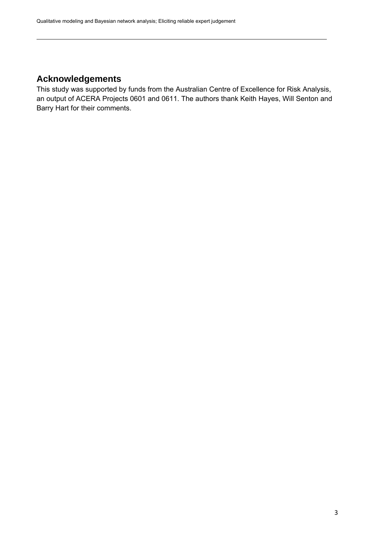## <span id="page-2-0"></span>**Acknowledgements**

This study was supported by funds from the Australian Centre of Excellence for Risk Analysis, an output of ACERA Projects 0601 and 0611. The authors thank Keith Hayes, Will Senton and Barry Hart for their comments.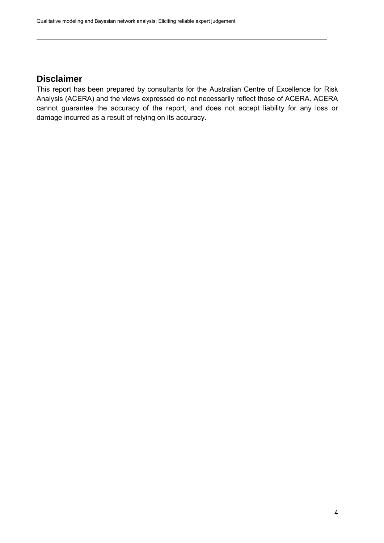### <span id="page-3-0"></span>**Disclaimer**

This report has been prepared by consultants for the Australian Centre of Excellence for Risk Analysis (ACERA) and the views expressed do not necessarily reflect those of ACERA. ACERA cannot guarantee the accuracy of the report, and does not accept liability for any loss or damage incurred as a result of relying on its accuracy.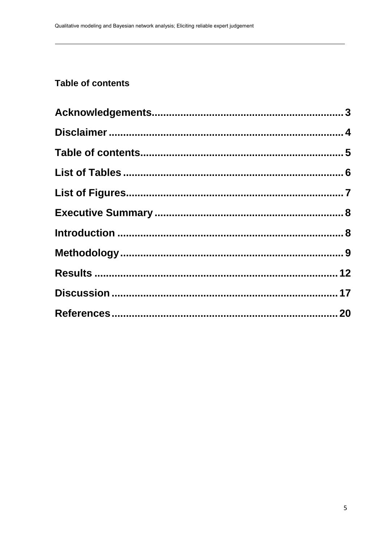## <span id="page-4-0"></span>Table of contents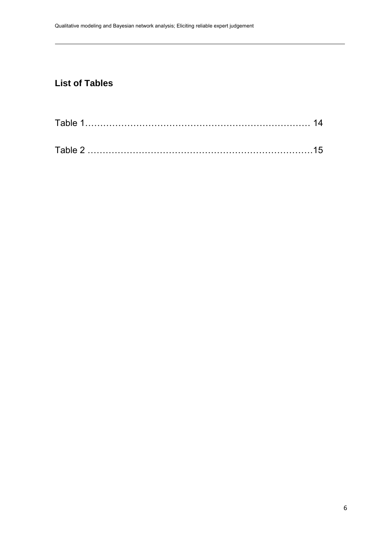## <span id="page-5-0"></span>**List of Tables**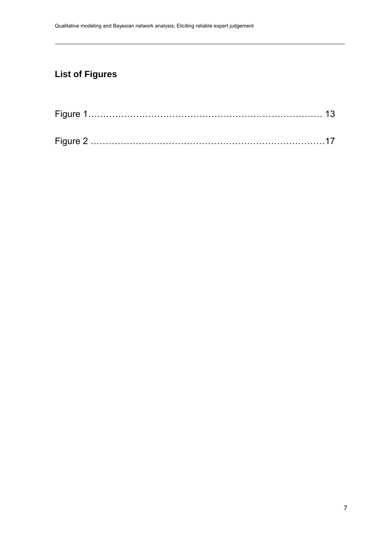## <span id="page-6-0"></span>**List of Figures**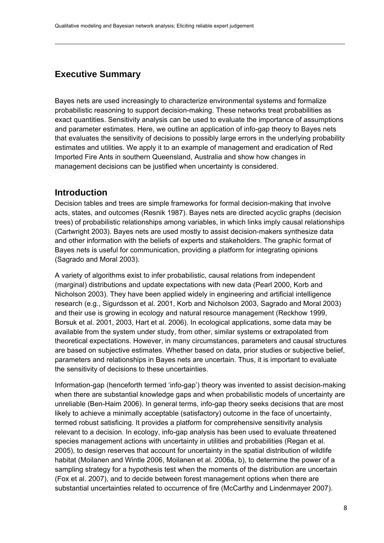### <span id="page-7-0"></span>**Executive Summary**

Bayes nets are used increasingly to characterize environmental systems and formalize probabilistic reasoning to support decision-making. These networks treat probabilities as exact quantities. Sensitivity analysis can be used to evaluate the importance of assumptions and parameter estimates. Here, we outline an application of info-gap theory to Bayes nets that evaluates the sensitivity of decisions to possibly large errors in the underlying probability estimates and utilities. We apply it to an example of management and eradication of Red Imported Fire Ants in southern Queensland, Australia and show how changes in management decisions can be justified when uncertainty is considered.

#### **Introduction**

Decision tables and trees are simple frameworks for formal decision-making that involve acts, states, and outcomes (Resnik 1987). Bayes nets are directed acyclic graphs (decision trees) of probabilistic relationships among variables, in which links imply causal relationships (Cartwright 2003). Bayes nets are used mostly to assist decision-makers synthesize data and other information with the beliefs of experts and stakeholders. The graphic format of Bayes nets is useful for communication, providing a platform for integrating opinions (Sagrado and Moral 2003).

A variety of algorithms exist to infer probabilistic, causal relations from independent (marginal) distributions and update expectations with new data (Pearl 2000, Korb and Nicholson 2003). They have been applied widely in engineering and artificial intelligence research (e.g., Sigurdsson et al. 2001, Korb and Nicholson 2003, Sagrado and Moral 2003) and their use is growing in ecology and natural resource management (Reckhow 1999, Borsuk et al. 2001, 2003, Hart et al. 2006). In ecological applications, some data may be available from the system under study, from other, similar systems or extrapolated from theoretical expectations. However, in many circumstances, parameters and causal structures are based on subjective estimates. Whether based on data, prior studies or subjective belief, parameters and relationships in Bayes nets are uncertain. Thus, it is important to evaluate the sensitivity of decisions to these uncertainties.

Information-gap (henceforth termed 'info-gap') theory was invented to assist decision-making when there are substantial knowledge gaps and when probabilistic models of uncertainty are unreliable (Ben-Haim 2006). In general terms, info-gap theory seeks decisions that are most likely to achieve a minimally acceptable (satisfactory) outcome in the face of uncertainty, termed robust satisficing. It provides a platform for comprehensive sensitivity analysis relevant to a decision. In ecology, info-gap analysis has been used to evaluate threatened species management actions with uncertainty in utilities and probabilities (Regan et al. 2005), to design reserves that account for uncertainty in the spatial distribution of wildlife habitat (Moilanen and Wintle 2006, Moilanen et al. 2006a, b), to determine the power of a sampling strategy for a hypothesis test when the moments of the distribution are uncertain (Fox et al. 2007), and to decide between forest management options when there are substantial uncertainties related to occurrence of fire (McCarthy and Lindenmayer 2007).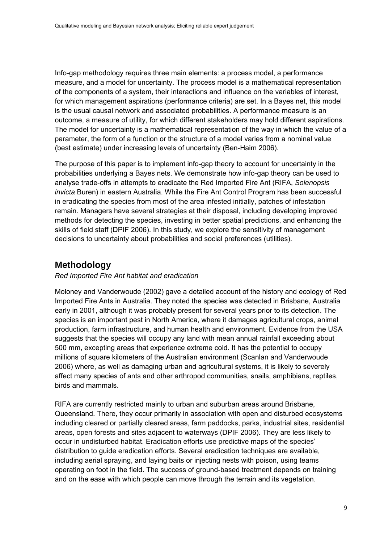<span id="page-8-0"></span>Info-gap methodology requires three main elements: a process model, a performance measure, and a model for uncertainty. The process model is a mathematical representation of the components of a system, their interactions and influence on the variables of interest, for which management aspirations (performance criteria) are set. In a Bayes net, this model is the usual causal network and associated probabilities. A performance measure is an outcome, a measure of utility, for which different stakeholders may hold different aspirations. The model for uncertainty is a mathematical representation of the way in which the value of a parameter, the form of a function or the structure of a model varies from a nominal value (best estimate) under increasing levels of uncertainty (Ben-Haim 2006).

The purpose of this paper is to implement info-gap theory to account for uncertainty in the probabilities underlying a Bayes nets. We demonstrate how info-gap theory can be used to analyse trade-offs in attempts to eradicate the Red Imported Fire Ant (RIFA, *Solenopsis invicta* Buren) in eastern Australia. While the Fire Ant Control Program has been successful in eradicating the species from most of the area infested initially, patches of infestation remain. Managers have several strategies at their disposal, including developing improved methods for detecting the species, investing in better spatial predictions, and enhancing the skills of field staff (DPIF 2006). In this study, we explore the sensitivity of management decisions to uncertainty about probabilities and social preferences (utilities).

## **Methodology**

#### *Red Imported Fire Ant habitat and eradication*

Moloney and Vanderwoude (2002) gave a detailed account of the history and ecology of Red Imported Fire Ants in Australia. They noted the species was detected in Brisbane, Australia early in 2001, although it was probably present for several years prior to its detection. The species is an important pest in North America, where it damages agricultural crops, animal production, farm infrastructure, and human health and environment. Evidence from the USA suggests that the species will occupy any land with mean annual rainfall exceeding about 500 mm, excepting areas that experience extreme cold. It has the potential to occupy millions of square kilometers of the Australian environment (Scanlan and Vanderwoude 2006) where, as well as damaging urban and agricultural systems, it is likely to severely affect many species of ants and other arthropod communities, snails, amphibians, reptiles, birds and mammals.

RIFA are currently restricted mainly to urban and suburban areas around Brisbane, Queensland. There, they occur primarily in association with open and disturbed ecosystems including cleared or partially cleared areas, farm paddocks, parks, industrial sites, residential areas, open forests and sites adjacent to waterways (DPIF 2006). They are less likely to occur in undisturbed habitat. Eradication efforts use predictive maps of the species' distribution to guide eradication efforts. Several eradication techniques are available, including aerial spraying, and laying baits or injecting nests with poison, using teams operating on foot in the field. The success of ground-based treatment depends on training and on the ease with which people can move through the terrain and its vegetation.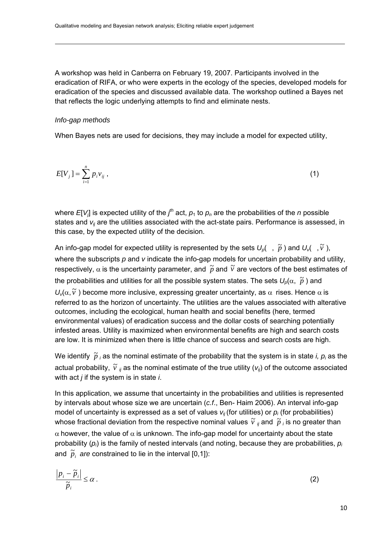A workshop was held in Canberra on February 19, 2007. Participants involved in the eradication of RIFA, or who were experts in the ecology of the species, developed models for eradication of the species and discussed available data. The workshop outlined a Bayes net that reflects the logic underlying attempts to find and eliminate nests.

#### *Info-gap methods*

When Bayes nets are used for decisions, they may include a model for expected utility,

$$
E[V_j] = \sum_{i=1}^{n} p_i v_{ij} \tag{1}
$$

where  $E[V_j]$  is expected utility of the  $j^{\text{th}}$  act,  $p_1$  to  $p_n$  are the probabilities of the *n* possible states and  $v_{ii}$  are the utilities associated with the act-state pairs. Performance is assessed, in this case, by the expected utility of the decision.

An info-gap model for expected utility is represented by the sets  $U_p($ ,  $\tilde{p}$ ) and  $U_v($ ,  $\tilde{v}$ ), where the subscripts p and *v* indicate the info-gap models for uncertain probability and utility, respectively,  $\alpha$  is the uncertainty parameter, and  $\tilde{p}$  and  $\tilde{v}$  are vectors of the best estimates of the probabilities and utilities for all the possible system states. The sets  $U_p(\alpha, p)$  and  $U$ <sub>ν</sub>( $\alpha$ ,  $\tilde{v}$ ) become more inclusive, expressing greater uncertainty, as  $\alpha$  rises. Hence  $\alpha$  is referred to as the horizon of uncertainty. The utilities are the values associated with alterative outcomes, including the ecological, human health and social benefits (here, termed environmental values) of eradication success and the dollar costs of searching potentially infested areas. Utility is maximized when environmental benefits are high and search costs are low. It is minimized when there is little chance of success and search costs are high.

We identify  $\widetilde{p}$  *i* as the nominal estimate of the probability that the system is in state *i, p<sub>i</sub>* as the actual probability,  $\widetilde{v}_{ij}$  as the nominal estimate of the true utility ( $v_{ij}$ ) of the outcome associated with act *j* if the system is in state *i*.

In this application, we assume that uncertainty in the probabilities and utilities is represented by intervals about whose size we are uncertain (*c.f*., Ben- Haim 2006). An interval info-gap model of uncertainty is expressed as a set of values  $v_{ii}$  (for utilities) or  $p_i$  (for probabilities) whose fractional deviation from the respective nominal values  $\tilde{v}$  *i* and  $\tilde{p}$  *i* is no greater than  $\alpha$  however, the value of  $\alpha$  is unknown. The info-gap model for uncertainty about the state probability (*pi*) is the family of nested intervals (and noting, because they are probabilities, *pi* and  $\tilde{p}_i$  are constrained to lie in the interval [0,1]):

$$
\frac{\left|p_i - \widetilde{p}_i\right|}{\widetilde{p}_i} \le \alpha \,. \tag{2}
$$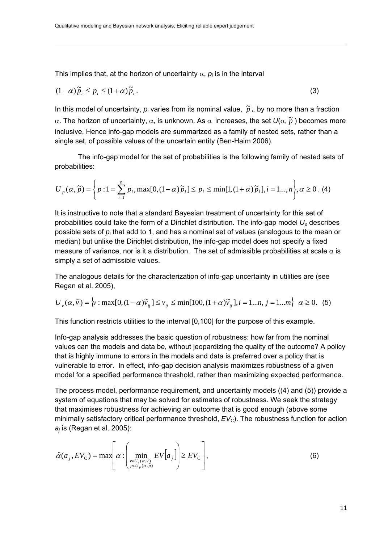This implies that, at the horizon of uncertainty  $\alpha$ ,  $p_i$  is in the interval

$$
(1 - \alpha)\tilde{p}_i \le p_i \le (1 + \alpha)\tilde{p}_i. \tag{3}
$$

In this model of uncertainty,  $p_i$  varies from its nominal value,  $\tilde{p}$   $_i$ , by no more than a fraction α. The horizon of uncertainty, α, is unknown. As  $\alpha$  increases, the set  $U(\alpha, \tilde{p})$  becomes more inclusive. Hence info-gap models are summarized as a family of nested sets, rather than a single set, of possible values of the uncertain entity (Ben-Haim 2006).

The info-gap model for the set of probabilities is the following family of nested sets of probabilities:

$$
U_{p}(\alpha, \tilde{p}) = \left\{ p : 1 = \sum_{i=1}^{n} p_{i}, \max[0, (1-\alpha)\tilde{p}_{i}] \le p_{i} \le \min[1, (1+\alpha)\tilde{p}_{i}], i = 1..., n \right\}, \alpha \ge 0. \tag{4}
$$

It is instructive to note that a standard Bayesian treatment of uncertainty for this set of probabilities could take the form of a Dirichlet distribution. The info-gap model  $U_p$  describes possible sets of *pi* that add to 1, and has a nominal set of values (analogous to the mean or median) but unlike the Dirichlet distribution, the info-gap model does not specify a fixed measure of variance, nor is it a distribution. The set of admissible probabilities at scale  $\alpha$  is simply a set of admissible values.

The analogous details for the characterization of info-gap uncertainty in utilities are (see Regan et al. 2005),

$$
U_{\nu}(\alpha,\tilde{\nu}) = \left\{\nu : \max[0,(1-\alpha)\tilde{\nu}_{ij}] \le \nu_{ij} \le \min[100,(1+\alpha)\tilde{\nu}_{ij}], i = 1...n, j = 1...m \right\} \quad \alpha \ge 0. \tag{5}
$$

This function restricts utilities to the interval [0,100] for the purpose of this example.

Info-gap analysis addresses the basic question of robustness: how far from the nominal values can the models and data be, without jeopardizing the quality of the outcome? A policy that is highly immune to errors in the models and data is preferred over a policy that is vulnerable to error. In effect, info-gap decision analysis maximizes robustness of a given model for a specified performance threshold, rather than maximizing expected performance.

The process model, performance requirement, and uncertainty models ((4) and (5)) provide a system of equations that may be solved for estimates of robustness. We seek the strategy that maximises robustness for achieving an outcome that is good enough (above some minimally satisfactory critical performance threshold,  $EV<sub>C</sub>$ ). The robustness function for action *aj* is (Regan et al. 2005):

$$
\hat{\alpha}(a_j, EV_c) = \max \left[ \alpha : \left( \min_{\substack{v \in U_v(\alpha, \tilde{v}) \\ p \in U_p(\alpha, \tilde{p})}} EV[a_j] \right) \geq EV_c \right], \tag{6}
$$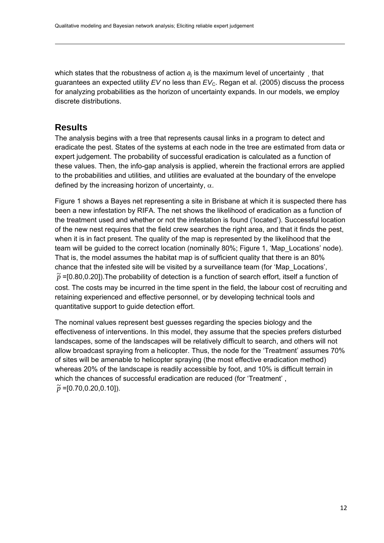<span id="page-11-0"></span>which states that the robustness of action  $a_i$  is the maximum level of uncertainty that guarantees an expected utility *EV* no less than *EV*<sub>C</sub>. Regan et al. (2005) discuss the process for analyzing probabilities as the horizon of uncertainty expands. In our models, we employ discrete distributions.

### **Results**

The analysis begins with a tree that represents causal links in a program to detect and eradicate the pest. States of the systems at each node in the tree are estimated from data or expert judgement. The probability of successful eradication is calculated as a function of these values. Then, the info-gap analysis is applied, wherein the fractional errors are applied to the probabilities and utilities, and utilities are evaluated at the boundary of the envelope defined by the increasing horizon of uncertainty,  $\alpha$ .

Figure 1 shows a Bayes net representing a site in Brisbane at which it is suspected there has been a new infestation by RIFA. The net shows the likelihood of eradication as a function of the treatment used and whether or not the infestation is found ('located'). Successful location of the new nest requires that the field crew searches the right area, and that it finds the pest, when it is in fact present. The quality of the map is represented by the likelihood that the team will be guided to the correct location (nominally 80%; Figure 1, 'Map\_Locations' node). That is, the model assumes the habitat map is of sufficient quality that there is an 80% chance that the infested site will be visited by a surveillance team (for 'Map\_Locations',  $\widetilde{p}$  =[0.80,0.20]).The probability of detection is a function of search effort, itself a function of cost. The costs may be incurred in the time spent in the field, the labour cost of recruiting and retaining experienced and effective personnel, or by developing technical tools and quantitative support to guide detection effort.

The nominal values represent best guesses regarding the species biology and the effectiveness of interventions. In this model, they assume that the species prefers disturbed landscapes, some of the landscapes will be relatively difficult to search, and others will not allow broadcast spraying from a helicopter. Thus, the node for the 'Treatment' assumes 70% of sites will be amenable to helicopter spraying (the most effective eradication method) whereas 20% of the landscape is readily accessible by foot, and 10% is difficult terrain in which the chances of successful eradication are reduced (for 'Treatment' ,  $\widetilde{p}$  =[0.70,0.20,0.10]).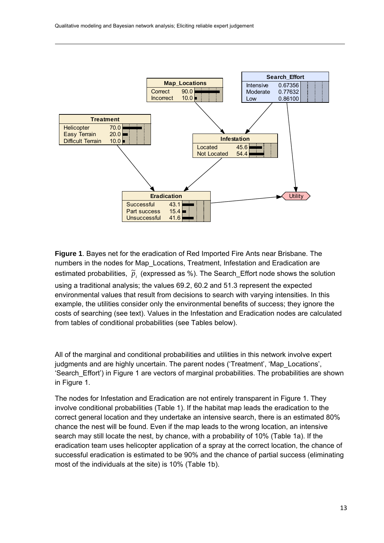

**Figure 1**. Bayes net for the eradication of Red Imported Fire Ants near Brisbane. The numbers in the nodes for Map\_Locations, Treatment, Infestation and Eradication are estimated probabilities,  $\tilde{p}_i$  (expressed as %). The Search\_Effort node shows the solution using a traditional analysis; the values 69.2, 60.2 and 51.3 represent the expected environmental values that result from decisions to search with varying intensities. In this example, the utilities consider only the environmental benefits of success; they ignore the costs of searching (see text). Values in the Infestation and Eradication nodes are calculated from tables of conditional probabilities (see Tables below).

All of the marginal and conditional probabilities and utilities in this network involve expert judgments and are highly uncertain. The parent nodes ('Treatment', 'Map\_Locations', 'Search\_Effort') in Figure 1 are vectors of marginal probabilities. The probabilities are shown in Figure 1.

The nodes for Infestation and Eradication are not entirely transparent in Figure 1. They involve conditional probabilities (Table 1). If the habitat map leads the eradication to the correct general location and they undertake an intensive search, there is an estimated 80% chance the nest will be found. Even if the map leads to the wrong location, an intensive search may still locate the nest, by chance, with a probability of 10% (Table 1a). If the eradication team uses helicopter application of a spray at the correct location, the chance of successful eradication is estimated to be 90% and the chance of partial success (eliminating most of the individuals at the site) is 10% (Table 1b).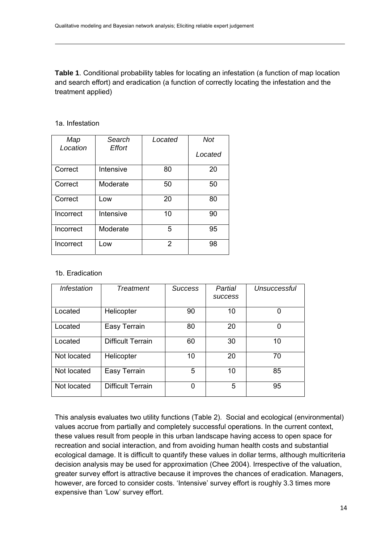**Table 1**. Conditional probability tables for locating an infestation (a function of map location and search effort) and eradication (a function of correctly locating the infestation and the treatment applied)

| Map       | Search    | Located | Not     |
|-----------|-----------|---------|---------|
| Location  | Effort    |         | Located |
| Correct   | Intensive | 80      | 20      |
| Correct   | Moderate  | 50      | 50      |
| Correct   | Low       | 20      | 80      |
| Incorrect | Intensive | 10      | 90      |
| Incorrect | Moderate  | 5       | 95      |
| Incorrect | Low       | 2       | 98      |

#### 1a. Infestation

#### 1b. Eradication

| Infestation | <b>Treatment</b>         | <b>Success</b> | Partial<br><b>SUCCESS</b> | Unsuccessful |
|-------------|--------------------------|----------------|---------------------------|--------------|
| Located     | Helicopter               | 90             | 10                        |              |
| Located     | Easy Terrain             | 80             | 20                        | ი            |
| Located     | <b>Difficult Terrain</b> | 60             | 30                        | 10           |
| Not located | Helicopter               | 10             | 20                        | 70           |
| Not located | Easy Terrain             | 5              | 10                        | 85           |
| Not located | <b>Difficult Terrain</b> | O              | 5                         | 95           |

This analysis evaluates two utility functions (Table 2). Social and ecological (environmental) values accrue from partially and completely successful operations. In the current context, these values result from people in this urban landscape having access to open space for recreation and social interaction, and from avoiding human health costs and substantial ecological damage. It is difficult to quantify these values in dollar terms, although multicriteria decision analysis may be used for approximation (Chee 2004). Irrespective of the valuation, greater survey effort is attractive because it improves the chances of eradication. Managers, however, are forced to consider costs. 'Intensive' survey effort is roughly 3.3 times more expensive than 'Low' survey effort.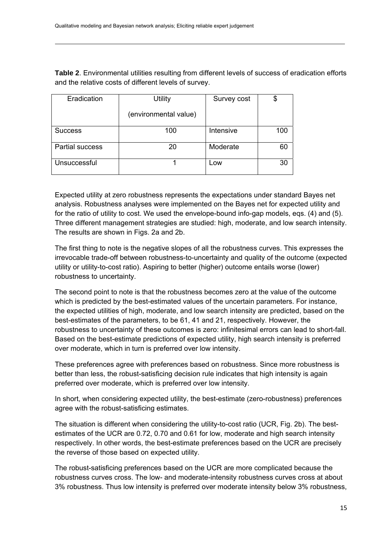**Table 2**. Environmental utilities resulting from different levels of success of eradication efforts and the relative costs of different levels of survey.

| Eradication     | <b>Utility</b>        | Survey cost | \$  |
|-----------------|-----------------------|-------------|-----|
|                 | (environmental value) |             |     |
| <b>Success</b>  | 100                   | Intensive   | 100 |
| Partial success | 20                    | Moderate    | 60  |
| Unsuccessful    |                       | Low         | 30  |

Expected utility at zero robustness represents the expectations under standard Bayes net analysis. Robustness analyses were implemented on the Bayes net for expected utility and for the ratio of utility to cost. We used the envelope-bound info-gap models, eqs. (4) and (5). Three different management strategies are studied: high, moderate, and low search intensity. The results are shown in Figs. 2a and 2b.

The first thing to note is the negative slopes of all the robustness curves. This expresses the irrevocable trade-off between robustness-to-uncertainty and quality of the outcome (expected utility or utility-to-cost ratio). Aspiring to better (higher) outcome entails worse (lower) robustness to uncertainty.

The second point to note is that the robustness becomes zero at the value of the outcome which is predicted by the best-estimated values of the uncertain parameters. For instance, the expected utilities of high, moderate, and low search intensity are predicted, based on the best-estimates of the parameters, to be 61, 41 and 21, respectively. However, the robustness to uncertainty of these outcomes is zero: infinitesimal errors can lead to short-fall. Based on the best-estimate predictions of expected utility, high search intensity is preferred over moderate, which in turn is preferred over low intensity.

These preferences agree with preferences based on robustness. Since more robustness is better than less, the robust-satisficing decision rule indicates that high intensity is again preferred over moderate, which is preferred over low intensity.

In short, when considering expected utility, the best-estimate (zero-robustness) preferences agree with the robust-satisficing estimates.

The situation is different when considering the utility-to-cost ratio (UCR, Fig. 2b). The bestestimates of the UCR are 0.72, 0.70 and 0.61 for low, moderate and high search intensity respectively. In other words, the best-estimate preferences based on the UCR are precisely the reverse of those based on expected utility.

The robust-satisficing preferences based on the UCR are more complicated because the robustness curves cross. The low- and moderate-intensity robustness curves cross at about 3% robustness. Thus low intensity is preferred over moderate intensity below 3% robustness,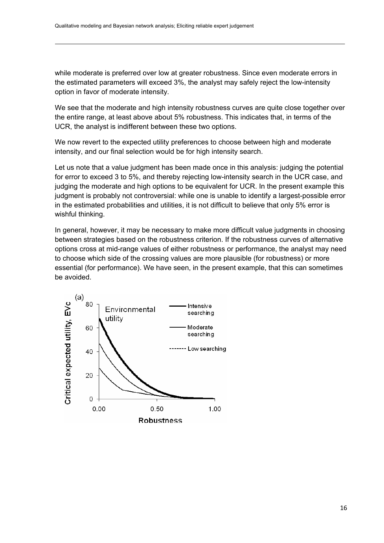while moderate is preferred over low at greater robustness. Since even moderate errors in the estimated parameters will exceed 3%, the analyst may safely reject the low-intensity option in favor of moderate intensity.

We see that the moderate and high intensity robustness curves are quite close together over the entire range, at least above about 5% robustness. This indicates that, in terms of the UCR, the analyst is indifferent between these two options.

We now revert to the expected utility preferences to choose between high and moderate intensity, and our final selection would be for high intensity search.

Let us note that a value judgment has been made once in this analysis: judging the potential for error to exceed 3 to 5%, and thereby rejecting low-intensity search in the UCR case, and judging the moderate and high options to be equivalent for UCR. In the present example this judgment is probably not controversial: while one is unable to identify a largest-possible error in the estimated probabilities and utilities, it is not difficult to believe that only 5% error is wishful thinking.

In general, however, it may be necessary to make more difficult value judgments in choosing between strategies based on the robustness criterion. If the robustness curves of alternative options cross at mid-range values of either robustness or performance, the analyst may need to choose which side of the crossing values are more plausible (for robustness) or more essential (for performance). We have seen, in the present example, that this can sometimes be avoided.

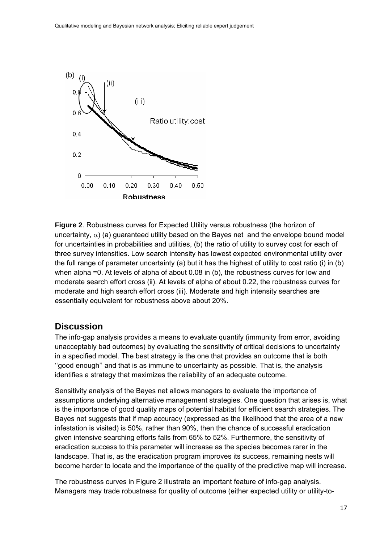<span id="page-16-0"></span>

**Figure 2**. Robustness curves for Expected Utility versus robustness (the horizon of uncertainty,  $\alpha$ ) (a) guaranteed utility based on the Bayes net and the envelope bound model for uncertainties in probabilities and utilities, (b) the ratio of utility to survey cost for each of three survey intensities. Low search intensity has lowest expected environmental utility over the full range of parameter uncertainty (a) but it has the highest of utility to cost ratio (i) in (b) when alpha =0. At levels of alpha of about 0.08 in (b), the robustness curves for low and moderate search effort cross (ii). At levels of alpha of about 0.22, the robustness curves for moderate and high search effort cross (iii). Moderate and high intensity searches are essentially equivalent for robustness above about 20%.

### **Discussion**

The info-gap analysis provides a means to evaluate quantify (immunity from error, avoiding unacceptably bad outcomes) by evaluating the sensitivity of critical decisions to uncertainty in a specified model. The best strategy is the one that provides an outcome that is both ''good enough'' and that is as immune to uncertainty as possible. That is, the analysis identifies a strategy that maximizes the reliability of an adequate outcome.

Sensitivity analysis of the Bayes net allows managers to evaluate the importance of assumptions underlying alternative management strategies. One question that arises is, what is the importance of good quality maps of potential habitat for efficient search strategies. The Bayes net suggests that if map accuracy (expressed as the likelihood that the area of a new infestation is visited) is 50%, rather than 90%, then the chance of successful eradication given intensive searching efforts falls from 65% to 52%. Furthermore, the sensitivity of eradication success to this parameter will increase as the species becomes rarer in the landscape. That is, as the eradication program improves its success, remaining nests will become harder to locate and the importance of the quality of the predictive map will increase.

The robustness curves in Figure 2 illustrate an important feature of info-gap analysis. Managers may trade robustness for quality of outcome (either expected utility or utility-to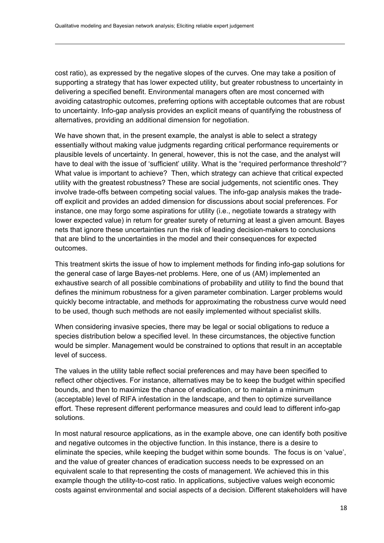cost ratio), as expressed by the negative slopes of the curves. One may take a position of supporting a strategy that has lower expected utility, but greater robustness to uncertainty in delivering a specified benefit. Environmental managers often are most concerned with avoiding catastrophic outcomes, preferring options with acceptable outcomes that are robust to uncertainty. Info-gap analysis provides an explicit means of quantifying the robustness of alternatives, providing an additional dimension for negotiation.

We have shown that, in the present example, the analyst is able to select a strategy essentially without making value judgments regarding critical performance requirements or plausible levels of uncertainty. In general, however, this is not the case, and the analyst will have to deal with the issue of 'sufficient' utility. What is the "required performance threshold"? What value is important to achieve? Then, which strategy can achieve that critical expected utility with the greatest robustness? These are social judgements, not scientific ones. They involve trade-offs between competing social values. The info-gap analysis makes the tradeoff explicit and provides an added dimension for discussions about social preferences. For instance, one may forgo some aspirations for utility (i.e., negotiate towards a strategy with lower expected value) in return for greater surety of returning at least a given amount. Bayes nets that ignore these uncertainties run the risk of leading decision-makers to conclusions that are blind to the uncertainties in the model and their consequences for expected outcomes.

This treatment skirts the issue of how to implement methods for finding info-gap solutions for the general case of large Bayes-net problems. Here, one of us (AM) implemented an exhaustive search of all possible combinations of probability and utility to find the bound that defines the minimum robustness for a given parameter combination. Larger problems would quickly become intractable, and methods for approximating the robustness curve would need to be used, though such methods are not easily implemented without specialist skills.

When considering invasive species, there may be legal or social obligations to reduce a species distribution below a specified level. In these circumstances, the objective function would be simpler. Management would be constrained to options that result in an acceptable level of success.

The values in the utility table reflect social preferences and may have been specified to reflect other objectives. For instance, alternatives may be to keep the budget within specified bounds, and then to maximize the chance of eradication, or to maintain a minimum (acceptable) level of RIFA infestation in the landscape, and then to optimize surveillance effort. These represent different performance measures and could lead to different info-gap solutions.

In most natural resource applications, as in the example above, one can identify both positive and negative outcomes in the objective function. In this instance, there is a desire to eliminate the species, while keeping the budget within some bounds. The focus is on 'value', and the value of greater chances of eradication success needs to be expressed on an equivalent scale to that representing the costs of management. We achieved this in this example though the utility-to-cost ratio. In applications, subjective values weigh economic costs against environmental and social aspects of a decision. Different stakeholders will have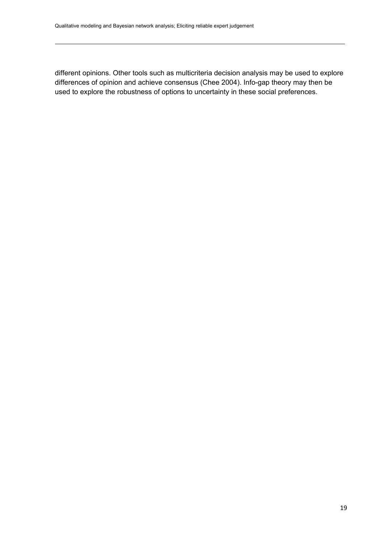different opinions. Other tools such as multicriteria decision analysis may be used to explore differences of opinion and achieve consensus (Chee 2004). Info-gap theory may then be used to explore the robustness of options to uncertainty in these social preferences.